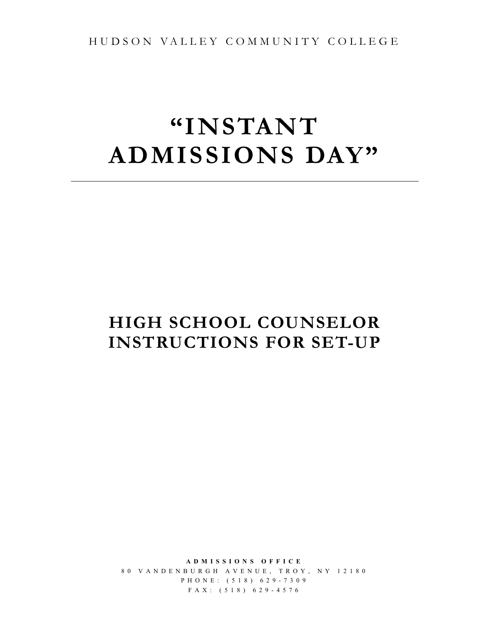HUDSON VALLEY COMMUN ITY COLLEGE

# **"INSTANT ADMISSIONS DAY"**

## **HIGH SCHOOL COUNSELOR INSTRUCTIONS FOR SET-UP**

**ADMISSIONS OFFICE** 80 VANDENBURGH AVENUE, TROY, NY 12180 PHONE: (518) 629 - 730 9 FAX: (518) 629 - 4576